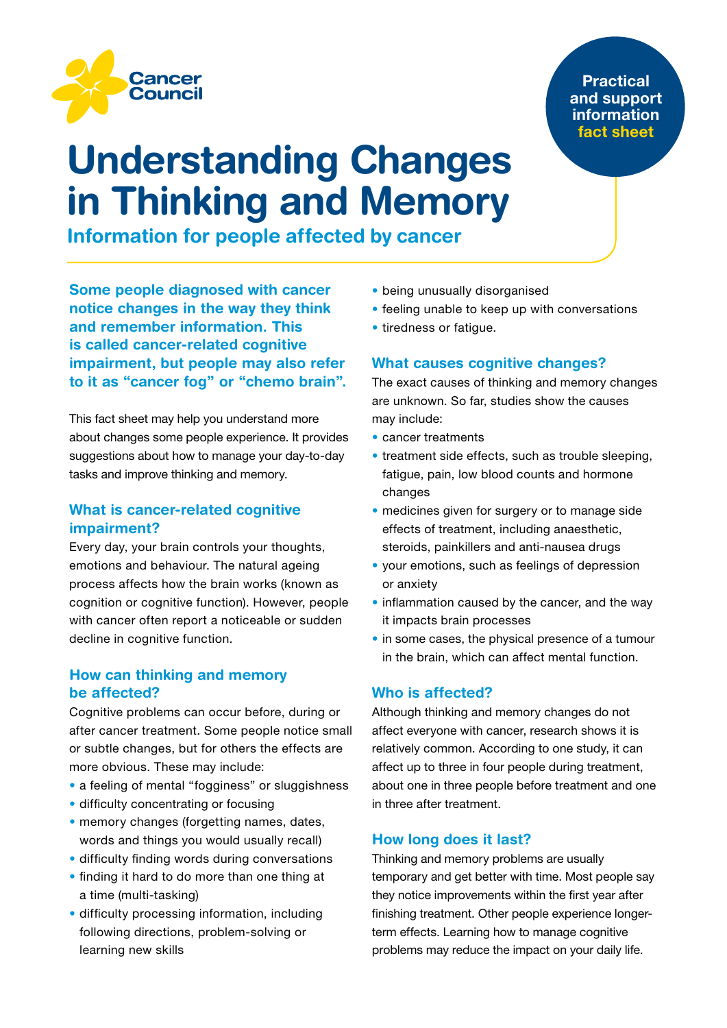

## Practical and support information fact sheet

# Understanding Changes in Thinking and Memory

Information for people affected by cancer

Some people diagnosed with cancer notice changes in the way they think and remember information. This is called cancer-related cognitive impairment, but people may also refer to it as "cancer fog" or "chemo brain".

This fact sheet may help you understand more about changes some people experience. It provides suggestions about how to manage your day-to-day tasks and improve thinking and memory.

# What is cancer-related cognitive impairment?

Every day, your brain controls your thoughts, emotions and behaviour. The natural ageing process affects how the brain works (known as cognition or cognitive function). However, people with cancer often report a noticeable or sudden decline in cognitive function.

# How can thinking and memory be affected?

Cognitive problems can occur before, during or after cancer treatment. Some people notice small or subtle changes, but for others the effects are more obvious. These may include:

- a feeling of mental "fogginess" or sluggishness
- difficulty concentrating or focusing
- memory changes (forgetting names, dates, words and things you would usually recall)
- difficulty finding words during conversations
- finding it hard to do more than one thing at a time (multi-tasking)
- difficulty processing information, including following directions, problem-solving or learning new skills
- being unusually disorganised
- feeling unable to keep up with conversations
- tiredness or fatigue.

## What causes cognitive changes?

The exact causes of thinking and memory changes are unknown. So far, studies show the causes may include:

- cancer treatments
- treatment side effects, such as trouble sleeping, fatigue, pain, low blood counts and hormone changes
- medicines given for surgery or to manage side effects of treatment, including anaesthetic, steroids, painkillers and anti-nausea drugs
- your emotions, such as feelings of depression or anxiety
- inflammation caused by the cancer, and the way it impacts brain processes
- in some cases, the physical presence of a tumour in the brain, which can affect mental function.

## Who is affected?

Although thinking and memory changes do not affect everyone with cancer, research shows it is relatively common. According to one study, it can affect up to three in four people during treatment, about one in three people before treatment and one in three after treatment.

## How long does it last?

Thinking and memory problems are usually temporary and get better with time. Most people say they notice improvements within the first year after finishing treatment. Other people experience longerterm effects. Learning how to manage cognitive problems may reduce the impact on your daily life.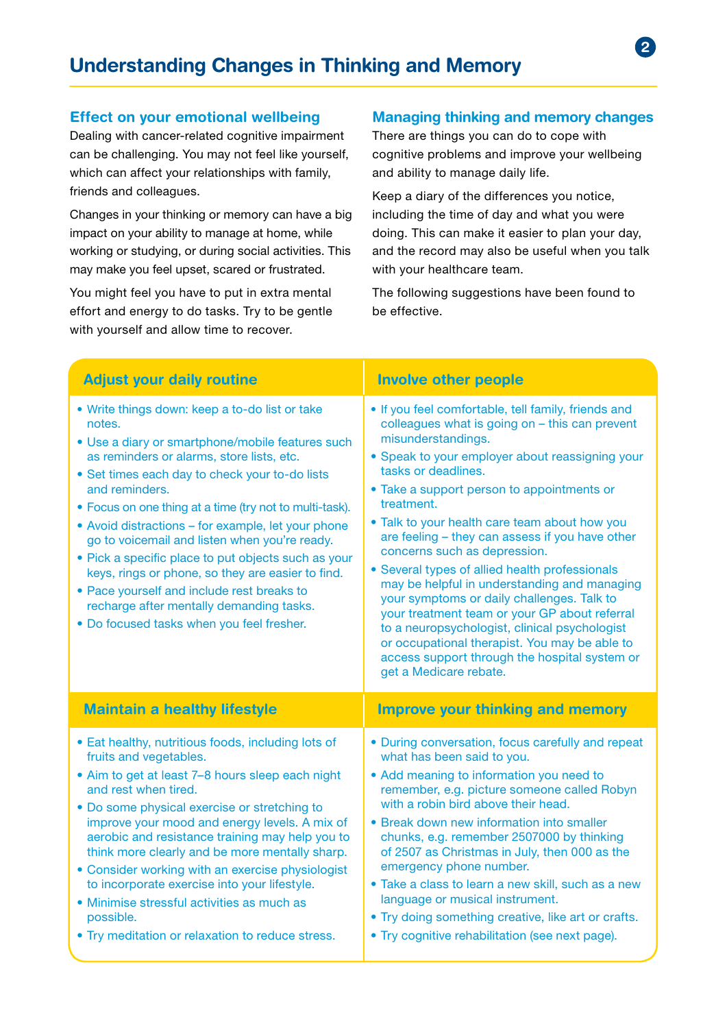#### Effect on your emotional wellbeing

Dealing with cancer-related cognitive impairment can be challenging. You may not feel like yourself, which can affect your relationships with family, friends and colleagues.

Changes in your thinking or memory can have a big impact on your ability to manage at home, while working or studying, or during social activities. This may make you feel upset, scared or frustrated.

You might feel you have to put in extra mental effort and energy to do tasks. Try to be gentle with yourself and allow time to recover.

# Managing thinking and memory changes

 $\mathbf{c}$ 

There are things you can do to cope with cognitive problems and improve your wellbeing and ability to manage daily life.

Keep a diary of the differences you notice, including the time of day and what you were doing. This can make it easier to plan your day, and the record may also be useful when you talk with your healthcare team.

The following suggestions have been found to be effective.

| <b>Adjust your daily routine</b>                                                                                                                                                                                                                                                                                                                                                                                                                                                                                                                                                                                                                   | <b>Involve other people</b>                                                                                                                                                                                                                                                                                                                                                                                                                                                                                                                                                                                                                                                                                                                                                         |
|----------------------------------------------------------------------------------------------------------------------------------------------------------------------------------------------------------------------------------------------------------------------------------------------------------------------------------------------------------------------------------------------------------------------------------------------------------------------------------------------------------------------------------------------------------------------------------------------------------------------------------------------------|-------------------------------------------------------------------------------------------------------------------------------------------------------------------------------------------------------------------------------------------------------------------------------------------------------------------------------------------------------------------------------------------------------------------------------------------------------------------------------------------------------------------------------------------------------------------------------------------------------------------------------------------------------------------------------------------------------------------------------------------------------------------------------------|
| • Write things down: keep a to-do list or take<br>notes.<br>• Use a diary or smartphone/mobile features such<br>as reminders or alarms, store lists, etc.<br>• Set times each day to check your to-do lists<br>and reminders.<br>• Focus on one thing at a time (try not to multi-task).<br>• Avoid distractions – for example, let your phone<br>go to voicemail and listen when you're ready.<br>• Pick a specific place to put objects such as your<br>keys, rings or phone, so they are easier to find.<br>• Pace yourself and include rest breaks to<br>recharge after mentally demanding tasks.<br>. Do focused tasks when you feel fresher. | • If you feel comfortable, tell family, friends and<br>colleagues what is going on - this can prevent<br>misunderstandings.<br>• Speak to your employer about reassigning your<br>tasks or deadlines.<br>• Take a support person to appointments or<br>treatment.<br>• Talk to your health care team about how you<br>are feeling - they can assess if you have other<br>concerns such as depression.<br>• Several types of allied health professionals<br>may be helpful in understanding and managing<br>your symptoms or daily challenges. Talk to<br>your treatment team or your GP about referral<br>to a neuropsychologist, clinical psychologist<br>or occupational therapist. You may be able to<br>access support through the hospital system or<br>get a Medicare rebate. |
| <b>Maintain a healthy lifestyle</b>                                                                                                                                                                                                                                                                                                                                                                                                                                                                                                                                                                                                                | <b>Improve your thinking and memory</b>                                                                                                                                                                                                                                                                                                                                                                                                                                                                                                                                                                                                                                                                                                                                             |
| • Eat healthy, nutritious foods, including lots of<br>fruits and vegetables.<br>• Aim to get at least 7-8 hours sleep each night<br>and rest when tired.<br>• Do some physical exercise or stretching to<br>improve your mood and energy levels. A mix of<br>aerobic and resistance training may help you to<br>think more clearly and be more mentally sharp.<br>• Consider working with an exercise physiologist<br>to incorporate exercise into your lifestyle.<br>• Minimise stressful activities as much as<br>possible.<br>• Try meditation or relaxation to reduce stress.                                                                  | • During conversation, focus carefully and repeat<br>what has been said to you.<br>• Add meaning to information you need to<br>remember, e.g. picture someone called Robyn<br>with a robin bird above their head.<br>• Break down new information into smaller<br>chunks, e.g. remember 2507000 by thinking<br>of 2507 as Christmas in July, then 000 as the<br>emergency phone number.<br>• Take a class to learn a new skill, such as a new<br>language or musical instrument.<br>• Try doing something creative, like art or crafts.<br>• Try cognitive rehabilitation (see next page).                                                                                                                                                                                          |